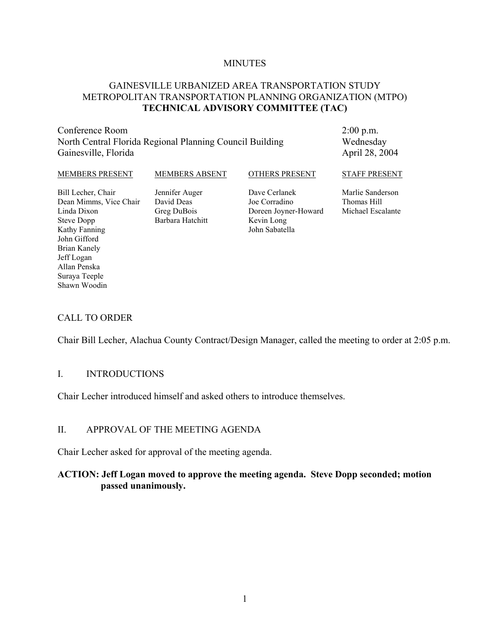#### **MINUTES**

#### GAINESVILLE URBANIZED AREA TRANSPORTATION STUDY METROPOLITAN TRANSPORTATION PLANNING ORGANIZATION (MTPO) **TECHNICAL ADVISORY COMMITTEE (TAC)**

Conference Room North Central Florida Regional Planning Council Building Gainesville, Florida

2:00 p.m. Wednesday April 28, 2004

| <b>MEMBERS PRESENT</b> | <b>MEMBERS ABSENT</b> | <b>OTHERS PRESENT</b> | <b>STAFF PRESENT</b> |
|------------------------|-----------------------|-----------------------|----------------------|
| Bill Lecher, Chair     | Jennifer Auger        | Dave Cerlanek         | Marlie Sanderson     |
| Dean Mimms, Vice Chair | David Deas            | Joe Corradino         | Thomas Hill          |
| Linda Dixon            | Greg DuBois           | Doreen Joyner-Howard  | Michael Escalante    |
| Steve Dopp             | Barbara Hatchitt      | Kevin Long            |                      |
| Kathy Fanning          |                       | John Sabatella        |                      |
| John Gifford           |                       |                       |                      |
| Brian Kanely           |                       |                       |                      |

#### CALL TO ORDER

Jeff Logan Allan Penska Suraya Teeple Shawn Woodin

Chair Bill Lecher, Alachua County Contract/Design Manager, called the meeting to order at 2:05 p.m.

#### I. INTRODUCTIONS

Chair Lecher introduced himself and asked others to introduce themselves.

#### II. APPROVAL OF THE MEETING AGENDA

Chair Lecher asked for approval of the meeting agenda.

#### **ACTION: Jeff Logan moved to approve the meeting agenda. Steve Dopp seconded; motion passed unanimously.**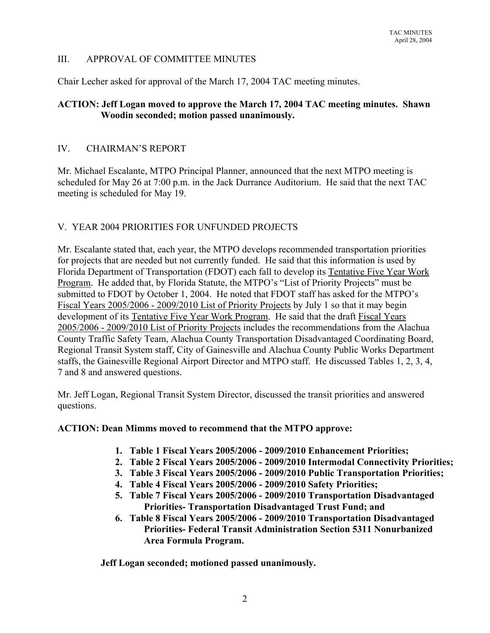# III. APPROVAL OF COMMITTEE MINUTES

Chair Lecher asked for approval of the March 17, 2004 TAC meeting minutes.

# **ACTION: Jeff Logan moved to approve the March 17, 2004 TAC meeting minutes. Shawn Woodin seconded; motion passed unanimously.**

# IV. CHAIRMAN'S REPORT

Mr. Michael Escalante, MTPO Principal Planner, announced that the next MTPO meeting is scheduled for May 26 at 7:00 p.m. in the Jack Durrance Auditorium. He said that the next TAC meeting is scheduled for May 19.

# V. YEAR 2004 PRIORITIES FOR UNFUNDED PROJECTS

Mr. Escalante stated that, each year, the MTPO develops recommended transportation priorities for projects that are needed but not currently funded. He said that this information is used by Florida Department of Transportation (FDOT) each fall to develop its Tentative Five Year Work Program. He added that, by Florida Statute, the MTPO's "List of Priority Projects" must be submitted to FDOT by October 1, 2004. He noted that FDOT staff has asked for the MTPO's Fiscal Years 2005/2006 - 2009/2010 List of Priority Projects by July 1 so that it may begin development of its Tentative Five Year Work Program. He said that the draft Fiscal Years 2005/2006 - 2009/2010 List of Priority Projects includes the recommendations from the Alachua County Traffic Safety Team, Alachua County Transportation Disadvantaged Coordinating Board, Regional Transit System staff, City of Gainesville and Alachua County Public Works Department staffs, the Gainesville Regional Airport Director and MTPO staff. He discussed Tables 1, 2, 3, 4, 7 and 8 and answered questions.

Mr. Jeff Logan, Regional Transit System Director, discussed the transit priorities and answered questions.

# **ACTION: Dean Mimms moved to recommend that the MTPO approve:**

- **1. Table 1 Fiscal Years 2005/2006 2009/2010 Enhancement Priorities;**
- **2. Table 2 Fiscal Years 2005/2006 2009/2010 Intermodal Connectivity Priorities;**
- **3. Table 3 Fiscal Years 2005/2006 2009/2010 Public Transportation Priorities;**
- **4. Table 4 Fiscal Years 2005/2006 2009/2010 Safety Priorities;**
- **5. Table 7 Fiscal Years 2005/2006 2009/2010 Transportation Disadvantaged Priorities- Transportation Disadvantaged Trust Fund; and**
- **6. Table 8 Fiscal Years 2005/2006 2009/2010 Transportation Disadvantaged Priorities- Federal Transit Administration Section 5311 Nonurbanized Area Formula Program.**

**Jeff Logan seconded; motioned passed unanimously.**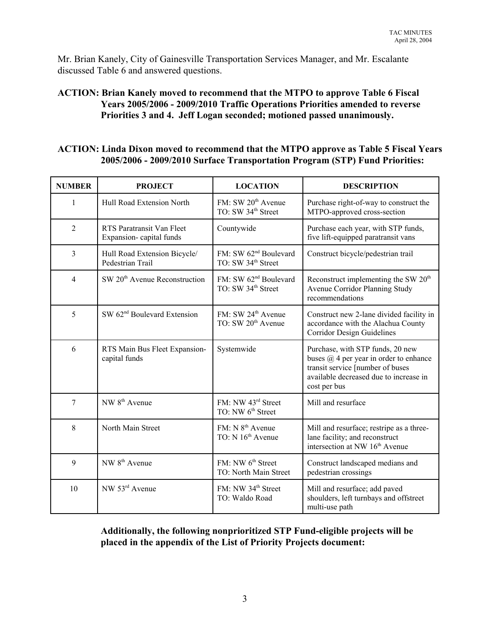Mr. Brian Kanely, City of Gainesville Transportation Services Manager, and Mr. Escalante discussed Table 6 and answered questions.

# **ACTION: Brian Kanely moved to recommend that the MTPO to approve Table 6 Fiscal Years 2005/2006 - 2009/2010 Traffic Operations Priorities amended to reverse Priorities 3 and 4. Jeff Logan seconded; motioned passed unanimously.**

#### **ACTION: Linda Dixon moved to recommend that the MTPO approve as Table 5 Fiscal Years 2005/2006 - 2009/2010 Surface Transportation Program (STP) Fund Priorities:**

| <b>NUMBER</b>  | <b>PROJECT</b>                                       | <b>LOCATION</b>                                                     | <b>DESCRIPTION</b>                                                                                                                                                              |
|----------------|------------------------------------------------------|---------------------------------------------------------------------|---------------------------------------------------------------------------------------------------------------------------------------------------------------------------------|
| 1              | Hull Road Extension North                            | FM: SW 20 <sup>th</sup> Avenue<br>TO: SW 34 <sup>th</sup> Street    | Purchase right-of-way to construct the<br>MTPO-approved cross-section                                                                                                           |
| $\overline{2}$ | RTS Paratransit Van Fleet<br>Expansion-capital funds | Countywide                                                          | Purchase each year, with STP funds,<br>five lift-equipped paratransit vans                                                                                                      |
| 3              | Hull Road Extension Bicycle/<br>Pedestrian Trail     | FM: SW 62 <sup>nd</sup> Boulevard<br>TO: SW 34 <sup>th</sup> Street | Construct bicycle/pedestrian trail                                                                                                                                              |
| $\overline{4}$ | SW 20 <sup>th</sup> Avenue Reconstruction            | FM: SW 62 <sup>nd</sup> Boulevard<br>TO: SW 34 <sup>th</sup> Street | Reconstruct implementing the SW 20 <sup>th</sup><br>Avenue Corridor Planning Study<br>recommendations                                                                           |
| 5              | SW 62 <sup>nd</sup> Boulevard Extension              | FM: SW 24 <sup>th</sup> Avenue<br>TO: SW 20 <sup>th</sup> Avenue    | Construct new 2-lane divided facility in<br>accordance with the Alachua County<br><b>Corridor Design Guidelines</b>                                                             |
| 6              | RTS Main Bus Fleet Expansion-<br>capital funds       | Systemwide                                                          | Purchase, with STP funds, 20 new<br>buses $\omega$ 4 per year in order to enhance<br>transit service [number of buses<br>available decreased due to increase in<br>cost per bus |
| $\overline{7}$ | NW 8 <sup>th</sup> Avenue                            | FM: NW 43rd Street<br>TO: NW 6 <sup>th</sup> Street                 | Mill and resurface                                                                                                                                                              |
| 8              | North Main Street                                    | FM: N 8 <sup>th</sup> Avenue<br>TO: N 16 <sup>th</sup> Avenue       | Mill and resurface; restripe as a three-<br>lane facility; and reconstruct<br>intersection at NW 16 <sup>th</sup> Avenue                                                        |
| 9              | NW 8 <sup>th</sup> Avenue                            | FM: NW 6 <sup>th</sup> Street<br>TO: North Main Street              | Construct landscaped medians and<br>pedestrian crossings                                                                                                                        |
| 10             | NW 53rd Avenue                                       | FM: NW 34 <sup>th</sup> Street<br>TO: Waldo Road                    | Mill and resurface; add paved<br>shoulders, left turnbays and offstreet<br>multi-use path                                                                                       |

**Additionally, the following nonprioritized STP Fund-eligible projects will be placed in the appendix of the List of Priority Projects document:**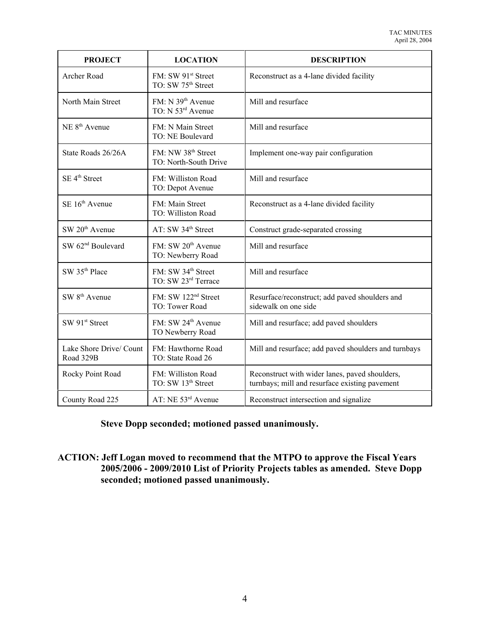| <b>PROJECT</b>                       | <b>LOCATION</b>                                         | <b>DESCRIPTION</b>                                                                               |  |
|--------------------------------------|---------------------------------------------------------|--------------------------------------------------------------------------------------------------|--|
| Archer Road                          | FM: SW 91st Street<br>TO: SW 75 <sup>th</sup> Street    | Reconstruct as a 4-lane divided facility                                                         |  |
| North Main Street                    | FM: N 39 <sup>th</sup> Avenue<br>TO: N 53rd Avenue      | Mill and resurface                                                                               |  |
| NE 8 <sup>th</sup> Avenue            | FM: N Main Street<br>TO: NE Boulevard                   | Mill and resurface                                                                               |  |
| State Roads 26/26A                   | FM: NW 38 <sup>th</sup> Street<br>TO: North-South Drive | Implement one-way pair configuration                                                             |  |
| SE 4 <sup>th</sup> Street            | FM: Williston Road<br>TO: Depot Avenue                  | Mill and resurface                                                                               |  |
| SE 16 <sup>th</sup> Avenue           | FM: Main Street<br>TO: Williston Road                   | Reconstruct as a 4-lane divided facility                                                         |  |
| SW 20 <sup>th</sup> Avenue           | AT: SW 34 <sup>th</sup> Street                          | Construct grade-separated crossing                                                               |  |
| SW 62 <sup>nd</sup> Boulevard        | FM: SW 20 <sup>th</sup> Avenue<br>TO: Newberry Road     | Mill and resurface                                                                               |  |
| SW 35 <sup>th</sup> Place            | FM: SW 34 <sup>th</sup> Street<br>TO: SW 23rd Terrace   | Mill and resurface                                                                               |  |
| SW 8 <sup>th</sup> Avenue            | FM: SW 122 <sup>nd</sup> Street<br>TO: Tower Road       | Resurface/reconstruct; add paved shoulders and<br>sidewalk on one side                           |  |
| SW 91st Street                       | FM: SW 24 <sup>th</sup> Avenue<br>TO Newberry Road      | Mill and resurface; add paved shoulders                                                          |  |
| Lake Shore Drive/ Count<br>Road 329B | FM: Hawthorne Road<br>TO: State Road 26                 | Mill and resurface; add paved shoulders and turnbays                                             |  |
| Rocky Point Road                     | FM: Williston Road<br>TO: SW 13 <sup>th</sup> Street    | Reconstruct with wider lanes, paved shoulders,<br>turnbays; mill and resurface existing pavement |  |
| County Road 225                      | AT: NE 53rd Avenue                                      | Reconstruct intersection and signalize                                                           |  |

# **Steve Dopp seconded; motioned passed unanimously.**

**ACTION: Jeff Logan moved to recommend that the MTPO to approve the Fiscal Years 2005/2006 - 2009/2010 List of Priority Projects tables as amended. Steve Dopp seconded; motioned passed unanimously.**